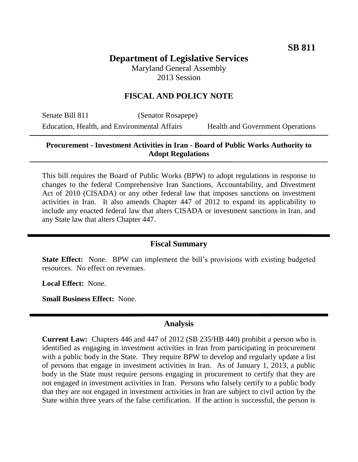# **Department of Legislative Services**

Maryland General Assembly 2013 Session

# **FISCAL AND POLICY NOTE**

Senate Bill 811 (Senator Rosapepe) Education, Health, and Environmental Affairs Health and Government Operations

### **Procurement - Investment Activities in Iran - Board of Public Works Authority to Adopt Regulations**

This bill requires the Board of Public Works (BPW) to adopt regulations in response to changes to the federal Comprehensive Iran Sanctions, Accountability, and Divestment Act of 2010 (CISADA) or any other federal law that imposes sanctions on investment activities in Iran. It also amends Chapter 447 of 2012 to expand its applicability to include any enacted federal law that alters CISADA or investment sanctions in Iran, and any State law that alters Chapter 447.

#### **Fiscal Summary**

**State Effect:** None. BPW can implement the bill's provisions with existing budgeted resources. No effect on revenues.

**Local Effect:** None.

**Small Business Effect:** None.

# **Analysis**

**Current Law:** Chapters 446 and 447 of 2012 (SB 235/HB 440) prohibit a person who is identified as engaging in investment activities in Iran from participating in procurement with a public body in the State. They require BPW to develop and regularly update a list of persons that engage in investment activities in Iran. As of January 1, 2013, a public body in the State must require persons engaging in procurement to certify that they are not engaged in investment activities in Iran. Persons who falsely certify to a public body that they are not engaged in investment activities in Iran are subject to civil action by the State within three years of the false certification. If the action is successful, the person is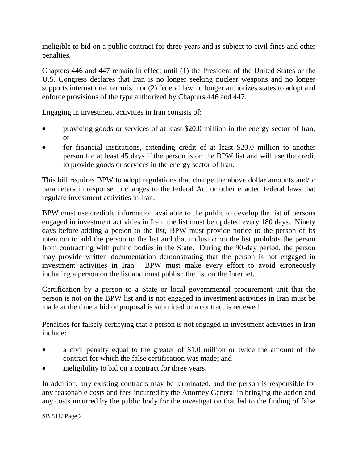ineligible to bid on a public contract for three years and is subject to civil fines and other penalties.

Chapters 446 and 447 remain in effect until (1) the President of the United States or the U.S. Congress declares that Iran is no longer seeking nuclear weapons and no longer supports international terrorism or (2) federal law no longer authorizes states to adopt and enforce provisions of the type authorized by Chapters 446 and 447.

Engaging in investment activities in Iran consists of:

- providing goods or services of at least \$20.0 million in the energy sector of Iran; or
- for financial institutions, extending credit of at least \$20.0 million to another person for at least 45 days if the person is on the BPW list and will use the credit to provide goods or services in the energy sector of Iran.

This bill requires BPW to adopt regulations that change the above dollar amounts and/or parameters in response to changes to the federal Act or other enacted federal laws that regulate investment activities in Iran.

BPW must use credible information available to the public to develop the list of persons engaged in investment activities in Iran; the list must be updated every 180 days. Ninety days before adding a person to the list, BPW must provide notice to the person of its intention to add the person to the list and that inclusion on the list prohibits the person from contracting with public bodies in the State. During the 90-day period, the person may provide written documentation demonstrating that the person is not engaged in investment activities in Iran. BPW must make every effort to avoid erroneously including a person on the list and must publish the list on the Internet.

Certification by a person to a State or local governmental procurement unit that the person is not on the BPW list and is not engaged in investment activities in Iran must be made at the time a bid or proposal is submitted or a contract is renewed.

Penalties for falsely certifying that a person is not engaged in investment activities in Iran include:

- a civil penalty equal to the greater of \$1.0 million or twice the amount of the contract for which the false certification was made; and
- ineligibility to bid on a contract for three years.

In addition, any existing contracts may be terminated, and the person is responsible for any reasonable costs and fees incurred by the Attorney General in bringing the action and any costs incurred by the public body for the investigation that led to the finding of false